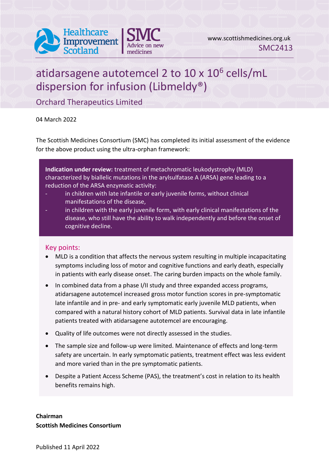

# atidarsagene autotemcel 2 to  $10 \times 10^6$  cells/mL dispersion for infusion (Libmeldy®)

Orchard Therapeutics Limited

04 March 2022

The Scottish Medicines Consortium (SMC) has completed its initial assessment of the evidence for the above product using the ultra-orphan framework:

**Indication under review:** treatment of metachromatic leukodystrophy (MLD) characterized by biallelic mutations in the arylsulfatase A (ARSA) gene leading to a reduction of the ARSA enzymatic activity:

- in children with late infantile or early juvenile forms, without clinical manifestations of the disease,
- in children with the early juvenile form, with early clinical manifestations of the disease, who still have the ability to walk independently and before the onset of cognitive decline.

#### Key points:

- MLD is a condition that affects the nervous system resulting in multiple incapacitating symptoms including loss of motor and cognitive functions and early death, especially in patients with early disease onset. The caring burden impacts on the whole family.
- In combined data from a phase I/II study and three expanded access programs, atidarsagene autotemcel increased gross motor function scores in pre-symptomatic late infantile and in pre- and early symptomatic early juvenile MLD patients, when compared with a natural history cohort of MLD patients. Survival data in late infantile patients treated with atidarsagene autotemcel are encouraging.
- Quality of life outcomes were not directly assessed in the studies.
- The sample size and follow-up were limited. Maintenance of effects and long-term safety are uncertain. In early symptomatic patients, treatment effect was less evident and more varied than in the pre symptomatic patients.
- Despite a Patient Access Scheme (PAS), the treatment's cost in relation to its health benefits remains high.

**Chairman Scottish Medicines Consortium**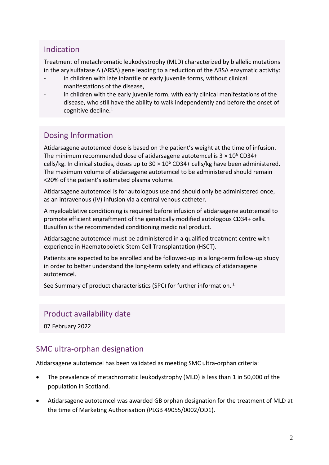### Indication

Treatment of metachromatic leukodystrophy (MLD) characterized by biallelic mutations in the arylsulfatase A (ARSA) gene leading to a reduction of the ARSA enzymatic activity:

- in children with late infantile or early juvenile forms, without clinical manifestations of the disease,
- in children with the early juvenile form, with early clinical manifestations of the disease, who still have the ability to walk independently and before the onset of cognitive decline.<sup>1</sup>

# Dosing Information

Atidarsagene autotemcel dose is based on the patient's weight at the time of infusion. The minimum recommended dose of atidarsagene autotemcel is  $3 \times 10^6$  CD34+ cells/kg. In clinical studies, doses up to  $30 \times 10^6$  CD34+ cells/kg have been administered. The maximum volume of atidarsagene autotemcel to be administered should remain <20% of the patient's estimated plasma volume.

Atidarsagene autotemcel is for autologous use and should only be administered once, as an intravenous (IV) infusion via a central venous catheter.

A myeloablative conditioning is required before infusion of atidarsagene autotemcel to promote efficient engraftment of the genetically modified autologous CD34+ cells. Busulfan is the recommended conditioning medicinal product.

Atidarsagene autotemcel must be administered in a qualified treatment centre with experience in Haematopoietic Stem Cell Transplantation (HSCT).

Patients are expected to be enrolled and be followed-up in a long-term follow-up study in order to better understand the long-term safety and efficacy of atidarsagene autotemcel.

See Summary of product characteristics (SPC) for further information.<sup>1</sup>

### Product availability date

07 February 2022

# SMC ultra-orphan designation

Atidarsagene autotemcel has been validated as meeting SMC ultra-orphan criteria:

- The prevalence of metachromatic leukodystrophy (MLD) is less than 1 in 50,000 of the population in Scotland.
- Atidarsagene autotemcel was awarded GB orphan designation for the treatment of MLD at the time of Marketing Authorisation (PLGB 49055/0002/OD1).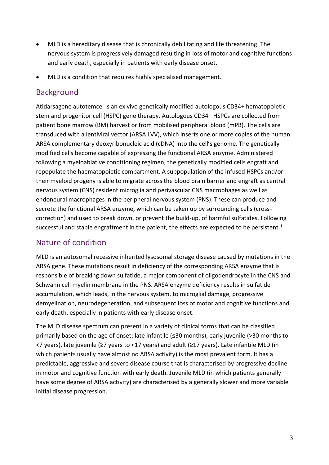- MLD is a hereditary disease that is chronically debilitating and life threatening. The nervous system is progressively damaged resulting in loss of motor and cognitive functions and early death, especially in patients with early disease onset.
- MLD is a condition that requires highly specialised management.

### Background

Atidarsagene autotemcel is an ex vivo genetically modified autologous CD34+ hematopoietic stem and progenitor cell (HSPC) gene therapy. Autologous CD34+ HSPCs are collected from patient bone marrow (BM) harvest or from mobilised peripheral blood (mPB). The cells are transduced with a lentiviral vector (ARSA LVV), which inserts one or more copies of the human ARSA complementary deoxyribonucleic acid (cDNA) into the cell's genome. The genetically modified cells become capable of expressing the functional ARSA enzyme. Administered following a myeloablative conditioning regimen, the genetically modified cells engraft and repopulate the haematopoietic compartment. A subpopulation of the infused HSPCs and/or their myeloid progeny is able to migrate across the blood brain barrier and engraft as central nervous system (CNS) resident microglia and perivascular CNS macrophages as well as endoneural macrophages in the peripheral nervous system (PNS). These can produce and secrete the functional ARSA enzyme, which can be taken up by surrounding cells (crosscorrection) and used to break down, or prevent the build-up, of harmful sulfatides. Following successful and stable engraftment in the patient, the effects are expected to be persistent.<sup>1</sup>

# Nature of condition

MLD is an autosomal recessive inherited lysosomal storage disease caused by mutations in the ARSA gene. These mutations result in deficiency of the corresponding ARSA enzyme that is responsible of breaking down sulfatide, a major component of oligodendrocyte in the CNS and Schwann cell myelin membrane in the PNS. ARSA enzyme deficiency results in sulfatide accumulation, which leads, in the nervous system, to microglial damage, progressive demyelination, neurodegeneration, and subsequent loss of motor and cognitive functions and early death, especially in patients with early disease onset.

The MLD disease spectrum can present in a variety of clinical forms that can be classified primarily based on the age of onset: late infantile (≤30 months), early juvenile (>30 months to <7 years), late juvenile (≥7 years to <17 years) and adult (≥17 years). Late infantile MLD (in which patients usually have almost no ARSA activity) is the most prevalent form. It has a predictable, aggressive and severe disease course that is characterised by progressive decline in motor and cognitive function with early death. Juvenile MLD (in which patients generally have some degree of ARSA activity) are characterised by a generally slower and more variable initial disease progression.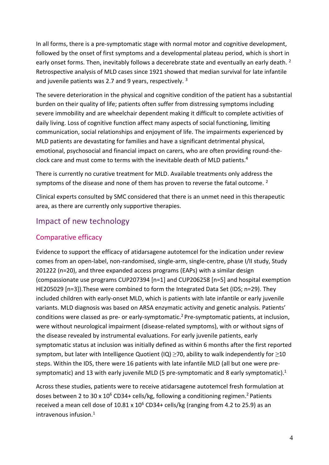In all forms, there is a pre-symptomatic stage with normal motor and cognitive development, followed by the onset of first symptoms and a developmental plateau period, which is short in early onset forms. Then, inevitably follows a decerebrate state and eventually an early death. <sup>2</sup> Retrospective analysis of MLD cases since 1921 showed that median survival for late infantile and juvenile patients was 2.7 and 9 years, respectively.<sup>3</sup>

The severe deterioration in the physical and cognitive condition of the patient has a substantial burden on their quality of life; patients often suffer from distressing symptoms including severe immobility and are wheelchair dependent making it difficult to complete activities of daily living. Loss of cognitive function affect many aspects of social functioning, limiting communication, social relationships and enjoyment of life. The impairments experienced by MLD patients are devastating for families and have a significant detrimental physical, emotional, psychosocial and financial impact on carers, who are often providing round-theclock care and must come to terms with the inevitable death of MLD patients.<sup>4</sup>

There is currently no curative treatment for MLD. Available treatments only address the symptoms of the disease and none of them has proven to reverse the fatal outcome.  $2$ 

Clinical experts consulted by SMC considered that there is an unmet need in this therapeutic area, as there are currently only supportive therapies.

### Impact of new technology

#### Comparative efficacy

Evidence to support the efficacy of atidarsagene autotemcel for the indication under review comes from an open-label, non-randomised, single-arm, single-centre, phase I/II study, Study 201222 (n=20), and three expanded access programs (EAPs) with a similar design (compassionate use programs CUP207394 [n=1] and CUP206258 [n=5] and hospital exemption HE205029 [n=3]).These were combined to form the Integrated Data Set (IDS; n=29). They included children with early-onset MLD, which is patients with late infantile or early juvenile variants. MLD diagnosis was based on ARSA enzymatic activity and genetic analysis. Patients' conditions were classed as pre- or early-symptomatic. <sup>2</sup> Pre-symptomatic patients, at inclusion, were without neurological impairment (disease-related symptoms), with or without signs of the disease revealed by instrumental evaluations. For early juvenile patients, early symptomatic status at inclusion was initially defined as within 6 months after the first reported symptom, but later with Intelligence Quotient (IQ) >70, ability to walk independently for >10 steps. Within the IDS, there were 16 patients with late infantile MLD (all but one were presymptomatic) and 13 with early juvenile MLD (5 pre-symptomatic and 8 early symptomatic). $1$ 

Across these studies, patients were to receive atidarsagene autotemcel fresh formulation at doses between 2 to 30 x  $10^6$  CD34+ cells/kg, following a conditioning regimen.<sup>2</sup> Patients received a mean cell dose of  $10.81 \times 10^6$  CD34+ cells/kg (ranging from 4.2 to 25.9) as an  $intra$ venous infusion. $1$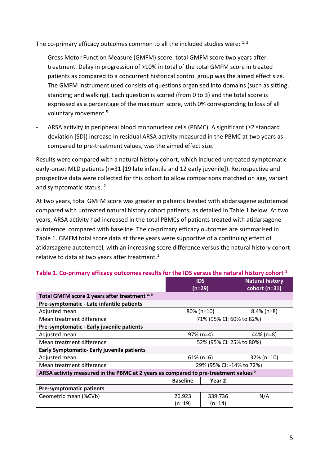The co-primary efficacy outcomes common to all the included studies were:  $1, 2$ 

- Gross Motor Function Measure (GMFM) score: total GMFM score two years after treatment. Delay in progression of >10% in total of the total GMFM score in treated patients as compared to a concurrent historical control group was the aimed effect size. The GMFM instrument used consists of questions organised into domains (such as sitting, standing; and walking). Each question is scored (from 0 to 3) and the total score is expressed as a percentage of the maximum score, with 0% corresponding to loss of all voluntary movement. 5
- ARSA activity in peripheral blood mononuclear cells (PBMC). A significant (≥2 standard deviation [SD]) increase in residual ARSA activity measured in the PBMC at two years as compared to pre-treatment values, was the aimed effect size.

Results were compared with a natural history cohort, which included untreated symptomatic early-onset MLD patients (n=31 [19 late infantile and 12 early juvenile]). Retrospective and prospective data were collected for this cohort to allow comparisons matched on age, variant and symptomatic status.<sup>2</sup>

At two years, total GMFM score was greater in patients treated with atidarsagene autotemcel compared with untreated natural history cohort patients, as detailed in Table 1 below. At two years, ARSA activity had increased in the total PBMCs of patients treated with atidarsagene autotemcel compared with baseline. The co-primary efficacy outcomes are summarised in Table 1. GMFM total score data at three years were supportive of a continuing effect of atidarsagene autotemcel, with an increasing score difference versus the natural history cohort relative to data at two years after treatment.<sup>1</sup>

|                                                                                     |                           | <b>IDS</b>        | <b>Natural history</b> |  |  |
|-------------------------------------------------------------------------------------|---------------------------|-------------------|------------------------|--|--|
|                                                                                     |                           | (n=29)            | cohort (n=31)          |  |  |
| Total GMFM score 2 years after treatment a, b                                       |                           |                   |                        |  |  |
| Pre-symptomatic - Late infantile patients                                           |                           |                   |                        |  |  |
| Adjusted mean                                                                       | $80\%$ (n=10)             |                   | $8.4\%$ (n=8)          |  |  |
| Mean treatment difference                                                           | 71% (95% CI: 60% to 82%)  |                   |                        |  |  |
| Pre-symptomatic - Early juvenile patients                                           |                           |                   |                        |  |  |
| Adjusted mean                                                                       | $97\%$ (n=4)              |                   | 44% (n=8)              |  |  |
| Mean treatment difference                                                           | 52% (95% CI: 25% to 80%)  |                   |                        |  |  |
| <b>Early Symptomatic- Early juvenile patients</b>                                   |                           |                   |                        |  |  |
| Adjusted mean                                                                       | $61\%$ (n=6)              |                   | $32\%$ (n=10)          |  |  |
| Mean treatment difference                                                           | 29% (95% CI: -14% to 72%) |                   |                        |  |  |
| ARSA activity measured in the PBMC at 2 years as compared to pre-treatment values b |                           |                   |                        |  |  |
|                                                                                     | <b>Baseline</b>           | Year <sub>2</sub> |                        |  |  |
| <b>Pre-symptomatic patients</b>                                                     |                           |                   |                        |  |  |
| Geometric mean (%CVb)                                                               | 26.923                    | 339.736           | N/A                    |  |  |
|                                                                                     | $(n=19)$                  | $(n=14)$          |                        |  |  |

#### **Table 1. Co-primary efficacy outcomes results for the IDS versus the natural history cohort <sup>1</sup>**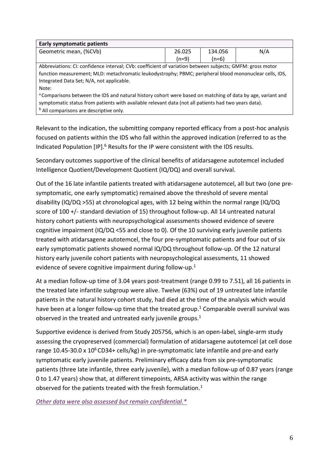| <b>Early symptomatic patients</b>                                                                                      |         |     |  |  |  |  |
|------------------------------------------------------------------------------------------------------------------------|---------|-----|--|--|--|--|
| 26.025                                                                                                                 | 134.056 | N/A |  |  |  |  |
| $(n=9)$                                                                                                                | (n=6)   |     |  |  |  |  |
| Abbreviations: CI: confidence interval; CVb: coefficient of variation between subjects; GMFM: gross motor              |         |     |  |  |  |  |
| function measurement; MLD: metachromatic leukodystrophy; PBMC; peripheral blood mononuclear cells, IDS,                |         |     |  |  |  |  |
| Integrated Data Set; N/A, not applicable.                                                                              |         |     |  |  |  |  |
| Note:                                                                                                                  |         |     |  |  |  |  |
| <sup>a</sup> Comparisons between the IDS and natural history cohort were based on matching of data by age, variant and |         |     |  |  |  |  |
| symptomatic status from patients with available relevant data (not all patients had two years data).                   |         |     |  |  |  |  |
| <sup>b</sup> All comparisons are descriptive only.                                                                     |         |     |  |  |  |  |
|                                                                                                                        |         |     |  |  |  |  |

Relevant to the indication, the submitting company reported efficacy from a post-hoc analysis focused on patients within the IDS who fall within the approved indication (referred to as the Indicated Population [IP].<sup>6</sup> Results for the IP were consistent with the IDS results.

Secondary outcomes supportive of the clinical benefits of atidarsagene autotemcel included Intelligence Quotient/Development Quotient (IQ/DQ) and overall survival.

Out of the 16 late infantile patients treated with atidarsagene autotemcel, all but two (one presymptomatic, one early symptomatic) remained above the threshold of severe mental disability (IQ/DQ >55) at chronological ages, with 12 being within the normal range (IQ/DQ score of 100 +/- standard deviation of 15) throughout follow-up. All 14 untreated natural history cohort patients with neuropsychological assessments showed evidence of severe cognitive impairment (IQ/DQ <55 and close to 0). Of the 10 surviving early juvenile patients treated with atidarsagene autotemcel, the four pre-symptomatic patients and four out of six early symptomatic patients showed normal IQ/DQ throughout follow-up. Of the 12 natural history early juvenile cohort patients with neuropsychological assessments, 11 showed evidence of severe cognitive impairment during follow-up.<sup>1</sup>

At a median follow-up time of 3.04 years post-treatment (range 0.99 to 7.51), all 16 patients in the treated late infantile subgroup were alive. Twelve (63%) out of 19 untreated late infantile patients in the natural history cohort study, had died at the time of the analysis which would have been at a longer follow-up time that the treated group.<sup>1</sup> Comparable overall survival was observed in the treated and untreated early juvenile groups. $1$ 

Supportive evidence is derived from Study 205756, which is an open-label, single-arm study assessing the cryopreserved (commercial) formulation of atidarsagene autotemcel (at cell dose range 10.45-30.0 x  $10^6$  CD34+ cells/kg) in pre-symptomatic late infantile and pre-and early symptomatic early juvenile patients. Preliminary efficacy data from six pre-symptomatic patients (three late infantile, three early juvenile), with a median follow-up of 0.87 years (range 0 to 1.47 years) show that, at different timepoints, ARSA activity was within the range observed for the patients treated with the fresh formulation. $1$ 

*[Other data were also assessed but remain confidential.\\*](https://www.scottishmedicines.org.uk/media/3572/20180710-release-of-company-data.pdf)*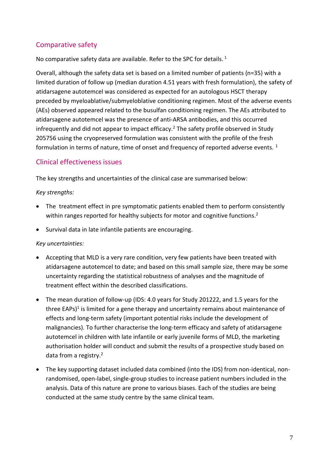### Comparative safety

No comparative safety data are available. Refer to the SPC for details.<sup>1</sup>

Overall, although the safety data set is based on a limited number of patients (n=35) with a limited duration of follow up (median duration 4.51 years with fresh formulation), the safety of atidarsagene autotemcel was considered as expected for an autologous HSCT therapy preceded by myeloablative/submyeloblative conditioning regimen. Most of the adverse events (AEs) observed appeared related to the busulfan conditioning regimen. The AEs attributed to atidarsagene autotemcel was the presence of anti-ARSA antibodies, and this occurred infrequently and did not appear to impact efficacy.<sup>2</sup> The safety profile observed in Study 205756 using the cryopreserved formulation was consistent with the profile of the fresh formulation in terms of nature, time of onset and frequency of reported adverse events.  $1$ 

#### Clinical effectiveness issues

The key strengths and uncertainties of the clinical case are summarised below:

#### *Key strengths:*

- The treatment effect in pre symptomatic patients enabled them to perform consistently within ranges reported for healthy subjects for motor and cognitive functions.<sup>2</sup>
- Survival data in late infantile patients are encouraging.

#### *Key uncertainties:*

- Accepting that MLD is a very rare condition, very few patients have been treated with atidarsagene autotemcel to date; and based on this small sample size, there may be some uncertainty regarding the statistical robustness of analyses and the magnitude of treatment effect within the described classifications.
- The mean duration of follow-up (IDS: 4.0 years for Study 201222, and 1.5 years for the three EAPs)<sup>1</sup> is limited for a gene therapy and uncertainty remains about maintenance of effects and long-term safety (important potential risks include the development of malignancies). To further characterise the long-term efficacy and safety of atidarsagene autotemcel in children with late infantile or early juvenile forms of MLD, the marketing authorisation holder will conduct and submit the results of a prospective study based on data from a registry.<sup>2</sup>
- The key supporting dataset included data combined (into the IDS) from non-identical, nonrandomised, open-label, single-group studies to increase patient numbers included in the analysis. Data of this nature are prone to various biases. Each of the studies are being conducted at the same study centre by the same clinical team.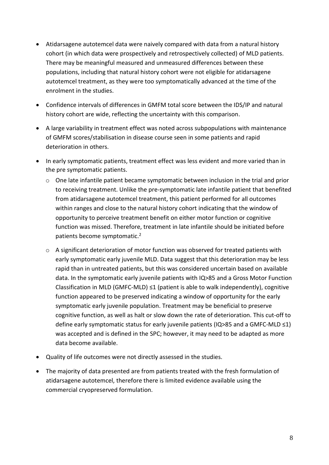- Atidarsagene autotemcel data were naively compared with data from a natural history cohort (in which data were prospectively and retrospectively collected) of MLD patients. There may be meaningful measured and unmeasured differences between these populations, including that natural history cohort were not eligible for atidarsagene autotemcel treatment, as they were too symptomatically advanced at the time of the enrolment in the studies.
- Confidence intervals of differences in GMFM total score between the IDS/IP and natural history cohort are wide, reflecting the uncertainty with this comparison.
- A large variability in treatment effect was noted across subpopulations with maintenance of GMFM scores/stabilisation in disease course seen in some patients and rapid deterioration in others.
- In early symptomatic patients, treatment effect was less evident and more varied than in the pre symptomatic patients.
	- o One late infantile patient became symptomatic between inclusion in the trial and prior to receiving treatment. Unlike the pre-symptomatic late infantile patient that benefited from atidarsagene autotemcel treatment, this patient performed for all outcomes within ranges and close to the natural history cohort indicating that the window of opportunity to perceive treatment benefit on either motor function or cognitive function was missed. Therefore, treatment in late infantile should be initiated before patients become symptomatic.<sup>2</sup>
	- o A significant deterioration of motor function was observed for treated patients with early symptomatic early juvenile MLD. Data suggest that this deterioration may be less rapid than in untreated patients, but this was considered uncertain based on available data. In the symptomatic early juvenile patients with IQ>85 and a Gross Motor Function Classification in MLD (GMFC-MLD)  $\leq 1$  (patient is able to walk independently), cognitive function appeared to be preserved indicating a window of opportunity for the early symptomatic early juvenile population. Treatment may be beneficial to preserve cognitive function, as well as halt or slow down the rate of deterioration. This cut-off to define early symptomatic status for early juvenile patients (IQ>85 and a GMFC-MLD ≤1) was accepted and is defined in the SPC; however, it may need to be adapted as more data become available.
- Quality of life outcomes were not directly assessed in the studies.
- The majority of data presented are from patients treated with the fresh formulation of atidarsagene autotemcel, therefore there is limited evidence available using the commercial cryopreserved formulation.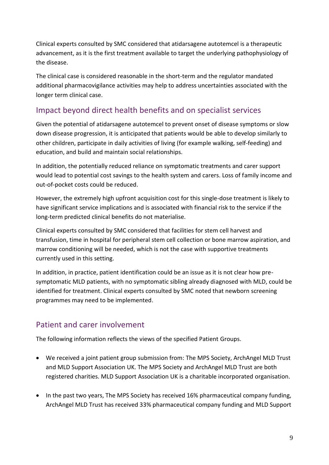Clinical experts consulted by SMC considered that atidarsagene autotemcel is a therapeutic advancement, as it is the first treatment available to target the underlying pathophysiology of the disease.

The clinical case is considered reasonable in the short-term and the regulator mandated additional pharmacovigilance activities may help to address uncertainties associated with the longer term clinical case.

# Impact beyond direct health benefits and on specialist services

Given the potential of atidarsagene autotemcel to prevent onset of disease symptoms or slow down disease progression, it is anticipated that patients would be able to develop similarly to other children, participate in daily activities of living (for example walking, self-feeding) and education, and build and maintain social relationships.

In addition, the potentially reduced reliance on symptomatic treatments and carer support would lead to potential cost savings to the health system and carers. Loss of family income and out-of-pocket costs could be reduced.

However, the extremely high upfront acquisition cost for this single-dose treatment is likely to have significant service implications and is associated with financial risk to the service if the long-term predicted clinical benefits do not materialise.

Clinical experts consulted by SMC considered that facilities for stem cell harvest and transfusion, time in hospital for peripheral stem cell collection or bone marrow aspiration, and marrow conditioning will be needed, which is not the case with supportive treatments currently used in this setting.

In addition, in practice, patient identification could be an issue as it is not clear how presymptomatic MLD patients, with no symptomatic sibling already diagnosed with MLD, could be identified for treatment. Clinical experts consulted by SMC noted that newborn screening programmes may need to be implemented.

# Patient and carer involvement

The following information reflects the views of the specified Patient Groups.

- We received a joint patient group submission from: The MPS Society, ArchAngel MLD Trust and MLD Support Association UK. The MPS Society and ArchAngel MLD Trust are both registered charities. MLD Support Association UK is a charitable incorporated organisation.
- In the past two years, The MPS Society has received 16% pharmaceutical company funding, ArchAngel MLD Trust has received 33% pharmaceutical company funding and MLD Support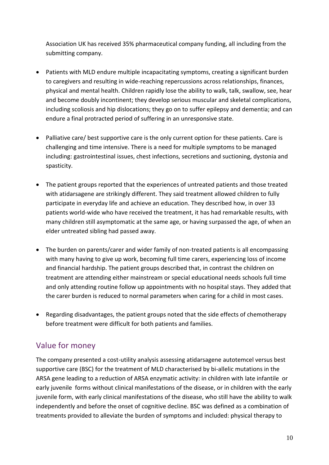Association UK has received 35% pharmaceutical company funding, all including from the submitting company.

- Patients with MLD endure multiple incapacitating symptoms, creating a significant burden to caregivers and resulting in wide-reaching repercussions across relationships, finances, physical and mental health. Children rapidly lose the ability to walk, talk, swallow, see, hear and become doubly incontinent; they develop serious muscular and skeletal complications, including scoliosis and hip dislocations; they go on to suffer epilepsy and dementia; and can endure a final protracted period of suffering in an unresponsive state.
- Palliative care/ best supportive care is the only current option for these patients. Care is challenging and time intensive. There is a need for multiple symptoms to be managed including: gastrointestinal issues, chest infections, secretions and suctioning, dystonia and spasticity.
- The patient groups reported that the experiences of untreated patients and those treated with atidarsagene are strikingly different. They said treatment allowed children to fully participate in everyday life and achieve an education. They described how, in over 33 patients world-wide who have received the treatment, it has had remarkable results, with many children still asymptomatic at the same age, or having surpassed the age, of when an elder untreated sibling had passed away.
- The burden on parents/carer and wider family of non-treated patients is all encompassing with many having to give up work, becoming full time carers, experiencing loss of income and financial hardship. The patient groups described that, in contrast the children on treatment are attending either mainstream or special educational needs schools full time and only attending routine follow up appointments with no hospital stays. They added that the carer burden is reduced to normal parameters when caring for a child in most cases.
- Regarding disadvantages, the patient groups noted that the side effects of chemotherapy before treatment were difficult for both patients and families.

### Value for money

The company presented a cost-utility analysis assessing atidarsagene autotemcel versus best supportive care (BSC) for the treatment of MLD characterised by bi-allelic mutations in the ARSA gene leading to a reduction of ARSA enzymatic activity: in children with late infantile or early juvenile forms without clinical manifestations of the disease, or in children with the early juvenile form, with early clinical manifestations of the disease, who still have the ability to walk independently and before the onset of cognitive decline. BSC was defined as a combination of treatments provided to alleviate the burden of symptoms and included: physical therapy to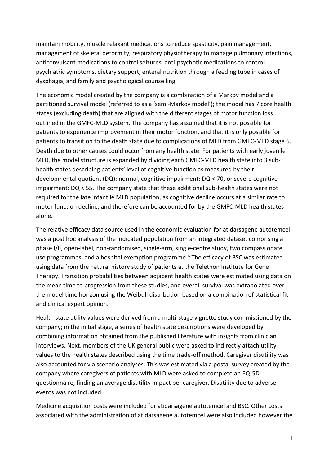maintain mobility, muscle relaxant medications to reduce spasticity, pain management, management of skeletal deformity, respiratory physiotherapy to manage pulmonary infections, anticonvulsant medications to control seizures, anti-psychotic medications to control psychiatric symptoms, dietary support, enteral nutrition through a feeding tube in cases of dysphagia, and family and psychological counselling.

The economic model created by the company is a combination of a Markov model and a partitioned survival model (referred to as a 'semi-Markov model'); the model has 7 core health states (excluding death) that are aligned with the different stages of motor function loss outlined in the GMFC-MLD system. The company has assumed that it is not possible for patients to experience improvement in their motor function, and that it is only possible for patients to transition to the death state due to complications of MLD from GMFC-MLD stage 6. Death due to other causes could occur from any health state. For patients with early juvenile MLD, the model structure is expanded by dividing each GMFC-MLD health state into 3 subhealth states describing patients' level of cognitive function as measured by their developmental quotient (DQ): normal, cognitive impairment: DQ < 70, or severe cognitive impairment: DQ < 55. The company state that these additional sub-health states were not required for the late infantile MLD population, as cognitive decline occurs at a similar rate to motor function decline, and therefore can be accounted for by the GMFC-MLD health states alone.

The relative efficacy data source used in the economic evaluation for atidarsagene autotemcel was a post hoc analysis of the indicated population from an integrated dataset comprising a phase I/II, open-label, non-randomised, single-arm, single-centre study, two compassionate use programmes, and a hospital exemption programme.<sup>6</sup> The efficacy of BSC was estimated using data from the natural history study of patients at the Telethon Institute for Gene Therapy. Transition probabilities between adjacent health states were estimated using data on the mean time to progression from these studies, and overall survival was extrapolated over the model time horizon using the Weibull distribution based on a combination of statistical fit and clinical expert opinion.

Health state utility values were derived from a multi-stage vignette study commissioned by the company; in the initial stage, a series of health state descriptions were developed by combining information obtained from the published literature with insights from clinician interviews. Next, members of the UK general public were asked to indirectly attach utility values to the health states described using the time trade-off method. Caregiver disutility was also accounted for via scenario analyses. This was estimated via a postal survey created by the company where caregivers of patients with MLD were asked to complete an EQ-5D questionnaire, finding an average disutility impact per caregiver. Disutility due to adverse events was not included.

Medicine acquisition costs were included for atidarsagene autotemcel and BSC. Other costs associated with the administration of atidarsagene autotemcel were also included however the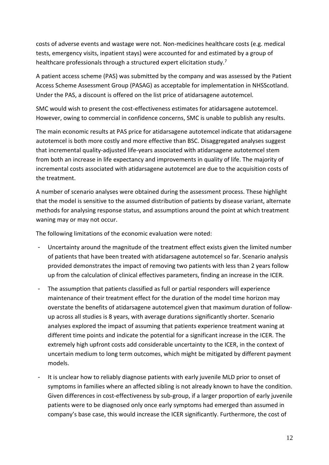costs of adverse events and wastage were not. Non-medicines healthcare costs (e.g. medical tests, emergency visits, inpatient stays) were accounted for and estimated by a group of healthcare professionals through a structured expert elicitation study.<sup>7</sup>

A patient access scheme (PAS) was submitted by the company and was assessed by the Patient Access Scheme Assessment Group (PASAG) as acceptable for implementation in NHSScotland. Under the PAS, a discount is offered on the list price of atidarsagene autotemcel.

SMC would wish to present the cost-effectiveness estimates for atidarsagene autotemcel. However, owing to commercial in confidence concerns, SMC is unable to publish any results.

The main economic results at PAS price for atidarsagene autotemcel indicate that atidarsagene autotemcel is both more costly and more effective than BSC. Disaggregated analyses suggest that incremental quality-adjusted life-years associated with atidarsagene autotemcel stem from both an increase in life expectancy and improvements in quality of life. The majority of incremental costs associated with atidarsagene autotemcel are due to the acquisition costs of the treatment.

A number of scenario analyses were obtained during the assessment process. These highlight that the model is sensitive to the assumed distribution of patients by disease variant, alternate methods for analysing response status, and assumptions around the point at which treatment waning may or may not occur.

The following limitations of the economic evaluation were noted:

- Uncertainty around the magnitude of the treatment effect exists given the limited number of patients that have been treated with atidarsagene autotemcel so far. Scenario analysis provided demonstrates the impact of removing two patients with less than 2 years follow up from the calculation of clinical effectives parameters, finding an increase in the ICER.
- The assumption that patients classified as full or partial responders will experience maintenance of their treatment effect for the duration of the model time horizon may overstate the benefits of atidarsagene autotemcel given that maximum duration of followup across all studies is 8 years, with average durations significantly shorter. Scenario analyses explored the impact of assuming that patients experience treatment waning at different time points and indicate the potential for a significant increase in the ICER. The extremely high upfront costs add considerable uncertainty to the ICER, in the context of uncertain medium to long term outcomes, which might be mitigated by different payment models.
- It is unclear how to reliably diagnose patients with early juvenile MLD prior to onset of symptoms in families where an affected sibling is not already known to have the condition. Given differences in cost-effectiveness by sub-group, if a larger proportion of early juvenile patients were to be diagnosed only once early symptoms had emerged than assumed in company's base case, this would increase the ICER significantly. Furthermore, the cost of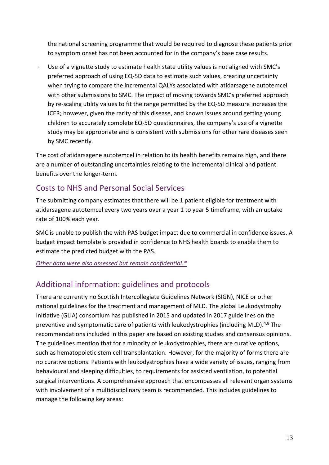the national screening programme that would be required to diagnose these patients prior to symptom onset has not been accounted for in the company's base case results.

Use of a vignette study to estimate health state utility values is not aligned with SMC's preferred approach of using EQ-5D data to estimate such values, creating uncertainty when trying to compare the incremental QALYs associated with atidarsagene autotemcel with other submissions to SMC. The impact of moving towards SMC's preferred approach by re-scaling utility values to fit the range permitted by the EQ-5D measure increases the ICER; however, given the rarity of this disease, and known issues around getting young children to accurately complete EQ-5D questionnaires, the company's use of a vignette study may be appropriate and is consistent with submissions for other rare diseases seen by SMC recently.

The cost of atidarsagene autotemcel in relation to its health benefits remains high, and there are a number of outstanding uncertainties relating to the incremental clinical and patient benefits over the longer-term.

### Costs to NHS and Personal Social Services

The submitting company estimates that there will be 1 patient eligible for treatment with atidarsagene autotemcel every two years over a year 1 to year 5 timeframe, with an uptake rate of 100% each year.

SMC is unable to publish the with PAS budget impact due to commercial in confidence issues. A budget impact template is provided in confidence to NHS health boards to enable them to estimate the predicted budget with the PAS.

*[Other data were also assessed but](https://www.scottishmedicines.org.uk/media/3572/20180710-release-of-company-data.pdf) remain confidential.\**

# Additional information: guidelines and protocols

There are currently no Scottish Intercollegiate Guidelines Network (SIGN), NICE or other national guidelines for the treatment and management of MLD. The global Leukodystrophy Initiative (GLIA) consortium has published in 2015 and updated in 2017 guidelines on the preventive and symptomatic care of patients with leukodystrophies (including MLD).<sup>4,8</sup> The recommendations included in this paper are based on existing studies and consensus opinions. The guidelines mention that for a minority of leukodystrophies, there are curative options, such as hematopoietic stem cell transplantation. However, for the majority of forms there are no curative options. Patients with leukodystrophies have a wide variety of issues, ranging from behavioural and sleeping difficulties, to requirements for assisted ventilation, to potential surgical interventions. A comprehensive approach that encompasses all relevant organ systems with involvement of a multidisciplinary team is recommended. This includes guidelines to manage the following key areas: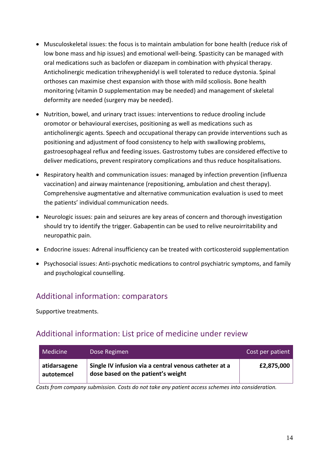- Musculoskeletal issues: the focus is to maintain ambulation for bone health (reduce risk of low bone mass and hip issues) and emotional well-being. Spasticity can be managed with oral medications such as baclofen or diazepam in combination with physical therapy. Anticholinergic medication trihexyphenidyl is well tolerated to reduce dystonia. Spinal orthoses can maximise chest expansion with those with mild scoliosis. Bone health monitoring (vitamin D supplementation may be needed) and management of skeletal deformity are needed (surgery may be needed).
- Nutrition, bowel, and urinary tract issues: interventions to reduce drooling include oromotor or behavioural exercises, positioning as well as medications such as anticholinergic agents. Speech and occupational therapy can provide interventions such as positioning and adjustment of food consistency to help with swallowing problems, gastroesophageal reflux and feeding issues. Gastrostomy tubes are considered effective to deliver medications, prevent respiratory complications and thus reduce hospitalisations.
- Respiratory health and communication issues: managed by infection prevention (influenza) vaccination) and airway maintenance (repositioning, ambulation and chest therapy). Comprehensive augmentative and alternative communication evaluation is used to meet the patients' individual communication needs.
- Neurologic issues: pain and seizures are key areas of concern and thorough investigation should try to identify the trigger. Gabapentin can be used to relive neuroirritability and neuropathic pain.
- Endocrine issues: Adrenal insufficiency can be treated with corticosteroid supplementation
- Psychosocial issues: Anti-psychotic medications to control psychiatric symptoms, and family and psychological counselling.

# Additional information: comparators

Supportive treatments.

### Additional information: List price of medicine under review

| Medicine                   | Dose Regimen                                                                                | Cost per patient |
|----------------------------|---------------------------------------------------------------------------------------------|------------------|
| atidarsagene<br>autotemcel | Single IV infusion via a central venous catheter at a<br>dose based on the patient's weight | £2,875,000       |

*Costs from company submission. Costs do not take any patient access schemes into consideration.*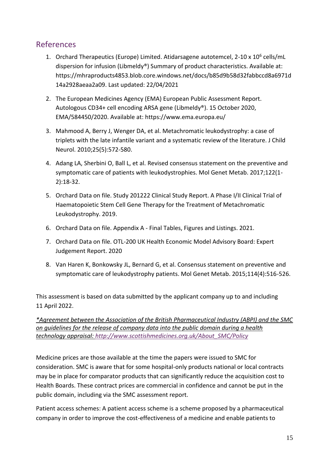### References

- 1. Orchard Therapeutics (Europe) Limited. Atidarsagene autotemcel, 2-10 x 10<sup>6</sup> cells/mL dispersion for infusion (Libmeldy®) Summary of product characteristics. Available at: [https://mhraproducts4853.blob.core.windows.net/docs/b85d9b58d32fabbccd8a6971d](https://mhraproducts4853.blob.core.windows.net/docs/b85d9b58d32fabbccd8a6971d14a2928aeaa2a09) [14a2928aeaa2a09.](https://mhraproducts4853.blob.core.windows.net/docs/b85d9b58d32fabbccd8a6971d14a2928aeaa2a09) Last updated: 22/04/2021
- 2. The European Medicines Agency (EMA) European Public Assessment Report. Autologous CD34+ cell encoding ARSA gene (Libmeldy®). 15 October 2020, EMA/584450/2020. Available at:<https://www.ema.europa.eu/>
- 3. Mahmood A, Berry J, Wenger DA, et al. Metachromatic leukodystrophy: a case of triplets with the late infantile variant and a systematic review of the literature. J Child Neurol. 2010;25(5):572-580.
- 4. Adang LA, Sherbini O, Ball L, et al. Revised consensus statement on the preventive and symptomatic care of patients with leukodystrophies. Mol Genet Metab. 2017;122(1- 2):18-32.
- 5. Orchard Data on file. Study 201222 Clinical Study Report. A Phase I/II Clinical Trial of Haematopoietic Stem Cell Gene Therapy for the Treatment of Metachromatic Leukodystrophy. 2019.
- 6. Orchard Data on file. Appendix A Final Tables, Figures and Listings. 2021.
- 7. Orchard Data on file. OTL-200 UK Health Economic Model Advisory Board: Expert Judgement Report. 2020
- 8. Van Haren K, Bonkowsky JL, Bernard G, et al. Consensus statement on preventive and symptomatic care of leukodystrophy patients. Mol Genet Metab. 2015;114(4):516-526.

This assessment is based on data submitted by the applicant company up to and including 11 April 2022.

*\*Agreement between the Association of the British Pharmaceutical Industry (ABPI) and the SMC on guidelines for the release of company data into the public domain during a health technology appraisal: [http://www.scottishmedicines.org.uk/About\\_SMC/Policy](http://www.scottishmedicines.org.uk/About_SMC/Policy)*

Medicine prices are those available at the time the papers were issued to SMC for consideration. SMC is aware that for some hospital-only products national or local contracts may be in place for comparator products that can significantly reduce the acquisition cost to Health Boards. These contract prices are commercial in confidence and cannot be put in the public domain, including via the SMC assessment report.

Patient access schemes: A patient access scheme is a scheme proposed by a pharmaceutical company in order to improve the cost-effectiveness of a medicine and enable patients to